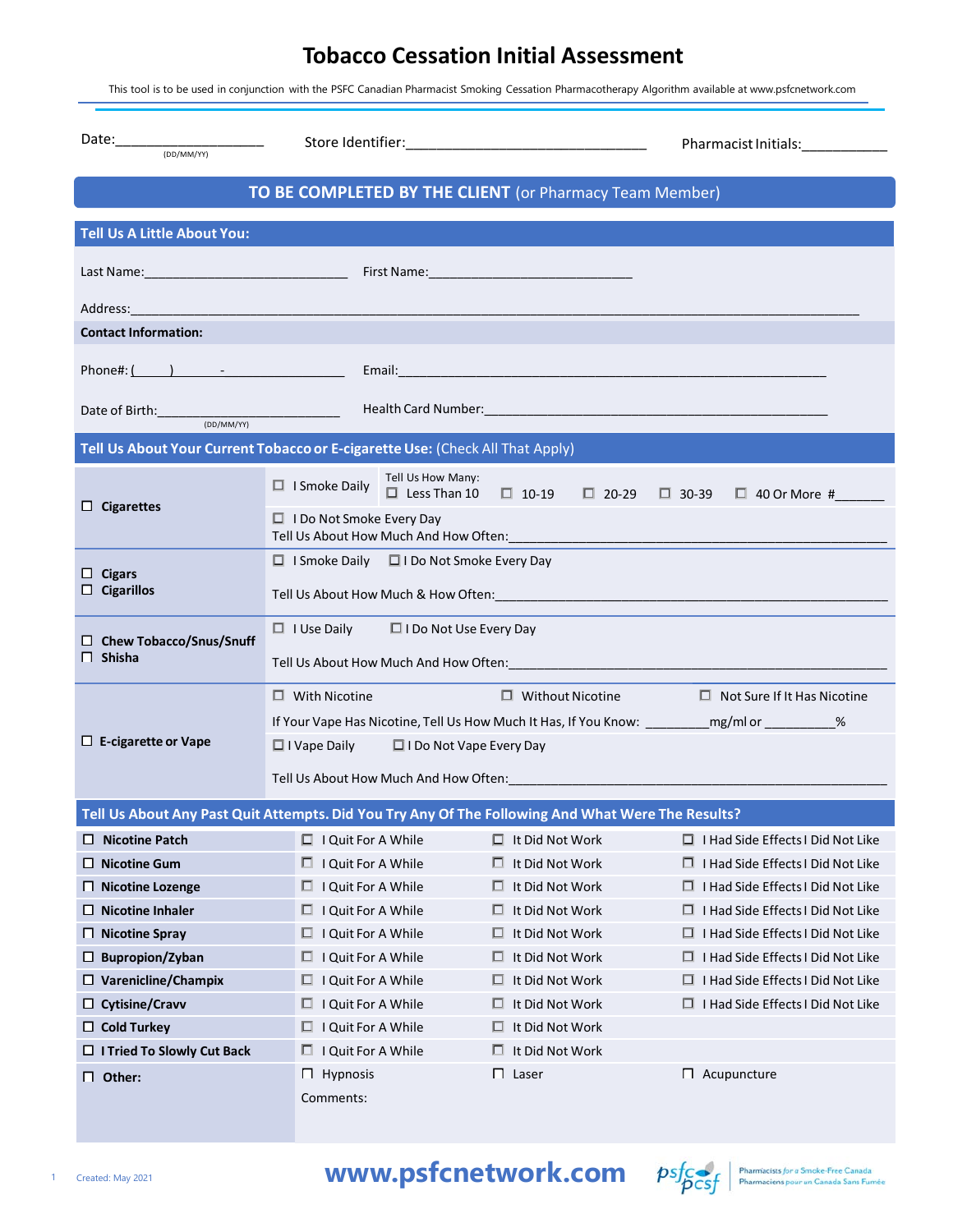## **Tobacco Cessation Initial Assessment**

This tool is to be used in conjunction with the PSFC Canadian Pharmacist Smoking Cessation Pharmacotherapy Algorithm available at www.psfcnetwork.com

| $\text{Date:}\underbrace{\hspace{2.5cm}}_{\text{(DD/MM/YY)}}\textcolor{blue}{\overbrace{\hspace{2.5cm}}^{\text{(DD/MM/YY)}}\hspace{2.5cm}}}$                                                                                                                                                                                              |                                                                                                                                                                                                                                |                         | Pharmacist Initials:____________                                               |  |  |  |  |  |
|-------------------------------------------------------------------------------------------------------------------------------------------------------------------------------------------------------------------------------------------------------------------------------------------------------------------------------------------|--------------------------------------------------------------------------------------------------------------------------------------------------------------------------------------------------------------------------------|-------------------------|--------------------------------------------------------------------------------|--|--|--|--|--|
| TO BE COMPLETED BY THE CLIENT (or Pharmacy Team Member)                                                                                                                                                                                                                                                                                   |                                                                                                                                                                                                                                |                         |                                                                                |  |  |  |  |  |
| <b>Tell Us A Little About You:</b>                                                                                                                                                                                                                                                                                                        |                                                                                                                                                                                                                                |                         |                                                                                |  |  |  |  |  |
|                                                                                                                                                                                                                                                                                                                                           |                                                                                                                                                                                                                                |                         |                                                                                |  |  |  |  |  |
| Address:                                                                                                                                                                                                                                                                                                                                  |                                                                                                                                                                                                                                |                         |                                                                                |  |  |  |  |  |
| <b>Contact Information:</b>                                                                                                                                                                                                                                                                                                               |                                                                                                                                                                                                                                |                         |                                                                                |  |  |  |  |  |
| Phone#: $\qquad \qquad$ $\qquad$ $\qquad$ $\qquad$ $\qquad$ $\qquad$ $\qquad$ $\qquad$ $\qquad$ $\qquad$ $\qquad$ $\qquad$ $\qquad$ $\qquad$ $\qquad$ $\qquad$ $\qquad$ $\qquad$ $\qquad$ $\qquad$ $\qquad$ $\qquad$ $\qquad$ $\qquad$ $\qquad$ $\qquad$ $\qquad$ $\qquad$ $\qquad$ $\qquad$ $\qquad$ $\qquad$ $\qquad$ $\qquad$ $\qquad$ | Email: <b>Example 2008</b> Service Contractor Contractor Contractor Contractor Contractor Contractor Contractor Contractor                                                                                                     |                         |                                                                                |  |  |  |  |  |
|                                                                                                                                                                                                                                                                                                                                           |                                                                                                                                                                                                                                |                         |                                                                                |  |  |  |  |  |
| Date of Birth: $(DD/MM/YY)$                                                                                                                                                                                                                                                                                                               |                                                                                                                                                                                                                                |                         |                                                                                |  |  |  |  |  |
|                                                                                                                                                                                                                                                                                                                                           | Tell Us About Your Current Tobacco or E-cigarette Use: (Check All That Apply)                                                                                                                                                  |                         |                                                                                |  |  |  |  |  |
| $\Box$ Cigarettes                                                                                                                                                                                                                                                                                                                         | Tell Us How Many:<br>$\Box$ I Smoke Daily                                                                                                                                                                                      |                         | $\Box$ Less Than 10 $\Box$ 10-19 $\Box$ 20-29 $\Box$ 30-39 $\Box$ 40 Or More # |  |  |  |  |  |
|                                                                                                                                                                                                                                                                                                                                           | $\Box$ I Do Not Smoke Every Day<br>Tell Us About How Much And How Often:                                                                                                                                                       |                         |                                                                                |  |  |  |  |  |
|                                                                                                                                                                                                                                                                                                                                           | $\Box$ I Smoke Daily $\Box$ I Do Not Smoke Every Day                                                                                                                                                                           |                         |                                                                                |  |  |  |  |  |
| $\Box$ Cigars<br>$\Box$ Cigarillos                                                                                                                                                                                                                                                                                                        |                                                                                                                                                                                                                                |                         |                                                                                |  |  |  |  |  |
| □ Chew Tobacco/Snus/Snuff<br>$\Box$ Shisha                                                                                                                                                                                                                                                                                                | $\Box$ I Use Daily $\Box$ I Do Not Use Every Day                                                                                                                                                                               |                         |                                                                                |  |  |  |  |  |
|                                                                                                                                                                                                                                                                                                                                           |                                                                                                                                                                                                                                |                         |                                                                                |  |  |  |  |  |
|                                                                                                                                                                                                                                                                                                                                           | $\Box$ With Nicotine                                                                                                                                                                                                           | $\Box$ Without Nicotine | $\Box$ Not Sure If It Has Nicotine                                             |  |  |  |  |  |
|                                                                                                                                                                                                                                                                                                                                           | If Your Vape Has Nicotine, Tell Us How Much It Has, If You Know: _____________________________%                                                                                                                                |                         |                                                                                |  |  |  |  |  |
| $\Box$ E-cigarette or Vape                                                                                                                                                                                                                                                                                                                | $\Box$ I Vape Daily $\Box$ I Do Not Vape Every Day                                                                                                                                                                             |                         |                                                                                |  |  |  |  |  |
|                                                                                                                                                                                                                                                                                                                                           | Tell Us About How Much And How Often: New York State State State State State State State State State State State State State State State State State State State State State State State State State State State State State S |                         |                                                                                |  |  |  |  |  |
|                                                                                                                                                                                                                                                                                                                                           | Tell Us About Any Past Quit Attempts. Did You Try Any Of The Following And What Were The Results?                                                                                                                              |                         |                                                                                |  |  |  |  |  |
| $\Box$ Nicotine Patch                                                                                                                                                                                                                                                                                                                     | $\Box$ I Quit For A While                                                                                                                                                                                                      | $\Box$ It Did Not Work  | $\Box$ I Had Side Effects I Did Not Like                                       |  |  |  |  |  |
| $\Box$ Nicotine Gum                                                                                                                                                                                                                                                                                                                       | $\Box$ I Quit For A While                                                                                                                                                                                                      | $\Box$ It Did Not Work  | $\Box$ I Had Side Effects I Did Not Like                                       |  |  |  |  |  |
| $\Box$ Nicotine Lozenge                                                                                                                                                                                                                                                                                                                   | I Quit For A While<br>□                                                                                                                                                                                                        | It Did Not Work<br>□    | $\Box$ I Had Side Effects I Did Not Like                                       |  |  |  |  |  |
| $\Box$ Nicotine Inhaler                                                                                                                                                                                                                                                                                                                   | I Quit For A While<br>$\Box$                                                                                                                                                                                                   | $\Box$ It Did Not Work  | $\Box$ I Had Side Effects I Did Not Like                                       |  |  |  |  |  |
| $\Box$ Nicotine Spray                                                                                                                                                                                                                                                                                                                     | I Quit For A While<br>□                                                                                                                                                                                                        | It Did Not Work<br>□.   | $\Box$ I Had Side Effects I Did Not Like                                       |  |  |  |  |  |
| $\Box$ Bupropion/Zyban                                                                                                                                                                                                                                                                                                                    | I Quit For A While<br>□                                                                                                                                                                                                        | $\Box$ It Did Not Work  | $\Box$ I Had Side Effects I Did Not Like                                       |  |  |  |  |  |
| $\Box$ Varenicline/Champix                                                                                                                                                                                                                                                                                                                | I Quit For A While<br>□                                                                                                                                                                                                        | It Did Not Work<br>0    | $\Box$ I Had Side Effects I Did Not Like                                       |  |  |  |  |  |
| $\Box$ Cytisine/Cravv                                                                                                                                                                                                                                                                                                                     | I Quit For A While<br>$\Box$                                                                                                                                                                                                   | It Did Not Work<br>□.   | $\Box$ I Had Side Effects I Did Not Like                                       |  |  |  |  |  |
| $\Box$ Cold Turkey                                                                                                                                                                                                                                                                                                                        | I Quit For A While<br>$\Box$                                                                                                                                                                                                   | It Did Not Work<br>□.   |                                                                                |  |  |  |  |  |
| $\Box$ I Tried To Slowly Cut Back                                                                                                                                                                                                                                                                                                         | I Quit For A While<br>□                                                                                                                                                                                                        | $\Box$ It Did Not Work  |                                                                                |  |  |  |  |  |
| $\Box$ Other:                                                                                                                                                                                                                                                                                                                             | Hypnosis<br>Ш                                                                                                                                                                                                                  | $\Box$ Laser            | $\Box$ Acupuncture                                                             |  |  |  |  |  |
|                                                                                                                                                                                                                                                                                                                                           | Comments:                                                                                                                                                                                                                      |                         |                                                                                |  |  |  |  |  |

1 Created: May 2021 **www.psfcnetwork.com**  $psf_{\text{C}}$  Pharmaciens *pour un* Canada Sans Fumée